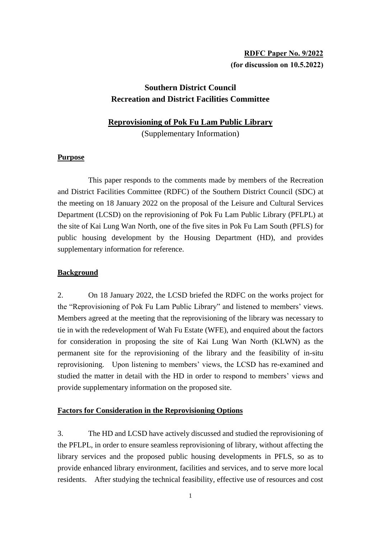# **RDFC Paper No. 9/2022 (for discussion on 10.5.2022)**

# **Southern District Council Recreation and District Facilities Committee**

## **Reprovisioning of Pok Fu Lam Public Library**

(Supplementary Information)

## **Purpose**

This paper responds to the comments made by members of the Recreation and District Facilities Committee (RDFC) of the Southern District Council (SDC) at the meeting on 18 January 2022 on the proposal of the Leisure and Cultural Services Department (LCSD) on the reprovisioning of Pok Fu Lam Public Library (PFLPL) at the site of Kai Lung Wan North, one of the five sites in Pok Fu Lam South (PFLS) for public housing development by the Housing Department (HD), and provides supplementary information for reference.

## **Background**

2. On 18 January 2022, the LCSD briefed the RDFC on the works project for the "Reprovisioning of Pok Fu Lam Public Library" and listened to members' views. Members agreed at the meeting that the reprovisioning of the library was necessary to tie in with the redevelopment of Wah Fu Estate (WFE), and enquired about the factors for consideration in proposing the site of Kai Lung Wan North (KLWN) as the permanent site for the reprovisioning of the library and the feasibility of in-situ reprovisioning. Upon listening to members' views, the LCSD has re-examined and studied the matter in detail with the HD in order to respond to members' views and provide supplementary information on the proposed site.

### **Factors for Consideration in the Reprovisioning Options**

3. The HD and LCSD have actively discussed and studied the reprovisioning of the PFLPL, in order to ensure seamless reprovisioning of library, without affecting the library services and the proposed public housing developments in PFLS, so as to provide enhanced library environment, facilities and services, and to serve more local residents. After studying the technical feasibility, effective use of resources and cost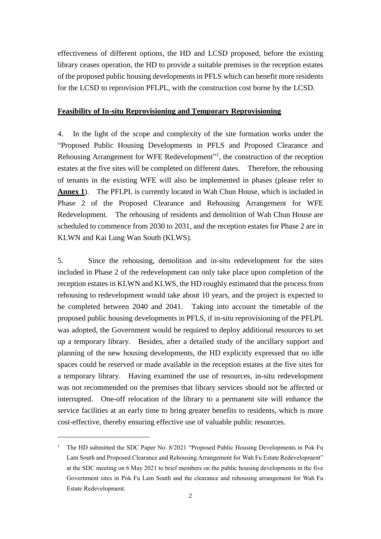effectiveness of different options, the HD and LCSD proposed, before the existing library ceases operation, the HD to provide a suitable premises in the reception estates of the proposed public housing developments in PFLS which can benefit more residents for the LCSD to reprovision PFLPL, with the construction cost borne by the LCSD.

#### **Feasibility of In-situ Reprovisioning and Temporary Reprovisioning**

4. In the light of the scope and complexity of the site formation works under the "Proposed Public Housing Developments in PFLS and Proposed Clearance and Rehousing Arrangement for WFE Redevelopment"<sup>1</sup>, the construction of the reception estates at the five sites will be completed on different dates. Therefore, the rehousing of tenants in the existing WFE will also be implemented in phases (please refer to **Annex 1**). The PFLPL is currently located in Wah Chun House, which is included in Phase 2 of the Proposed Clearance and Rehousing Arrangement for WFE Redevelopment. The rehousing of residents and demolition of Wah Chun House are scheduled to commence from 2030 to 2031, and the reception estates for Phase 2 are in KLWN and Kai Lung Wan South (KLWS).

5. Since the rehousing, demolition and in-situ redevelopment for the sites included in Phase 2 of the redevelopment can only take place upon completion of the reception estates in KLWN and KLWS, the HD roughly estimated that the process from rehousing to redevelopment would take about 10 years, and the project is expected to be completed between 2040 and 2041. Taking into account the timetable of the proposed public housing developments in PFLS, if in-situ reprovisioning of the PFLPL was adopted, the Government would be required to deploy additional resources to set up a temporary library. Besides, after a detailed study of the ancillary support and planning of the new housing developments, the HD explicitly expressed that no idle spaces could be reserved or made available in the reception estates at the five sites for a temporary library. Having examined the use of resources, in-situ redevelopment was not recommended on the premises that library services should not be affected or interrupted. One-off relocation of the library to a permanent site will enhance the service facilities at an early time to bring greater benefits to residents, which is more cost-effective, thereby ensuring effective use of valuable public resources.

-

<sup>&</sup>lt;sup>1</sup> The HD submitted the SDC Paper No. 8/2021 "Proposed Public Housing Developments in Pok Fu Lam South and Proposed Clearance and Rehousing Arrangement for Wah Fu Estate Redevelopment" at the SDC meeting on 6 May 2021 to brief members on the public housing developments in the five Government sites in Pok Fu Lam South and the clearance and rehousing arrangement for Wah Fu Estate Redevelopment.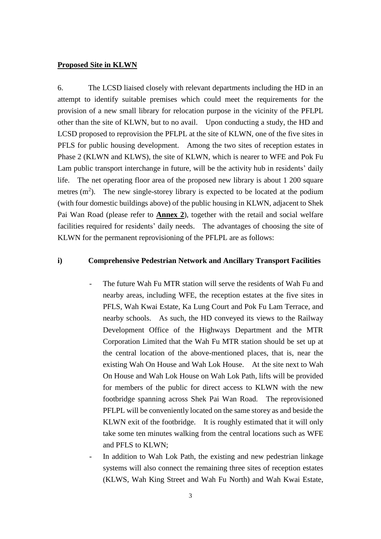#### **Proposed Site in KLWN**

6. The LCSD liaised closely with relevant departments including the HD in an attempt to identify suitable premises which could meet the requirements for the provision of a new small library for relocation purpose in the vicinity of the PFLPL other than the site of KLWN, but to no avail. Upon conducting a study, the HD and LCSD proposed to reprovision the PFLPL at the site of KLWN, one of the five sites in PFLS for public housing development. Among the two sites of reception estates in Phase 2 (KLWN and KLWS), the site of KLWN, which is nearer to WFE and Pok Fu Lam public transport interchange in future, will be the activity hub in residents' daily life. The net operating floor area of the proposed new library is about 1 200 square metres  $(m<sup>2</sup>)$ . The new single-storey library is expected to be located at the podium (with four domestic buildings above) of the public housing in KLWN, adjacent to Shek Pai Wan Road (please refer to **Annex 2**), together with the retail and social welfare facilities required for residents' daily needs. The advantages of choosing the site of KLWN for the permanent reprovisioning of the PFLPL are as follows:

#### **i) Comprehensive Pedestrian Network and Ancillary Transport Facilities**

- The future Wah Fu MTR station will serve the residents of Wah Fu and nearby areas, including WFE, the reception estates at the five sites in PFLS, Wah Kwai Estate, Ka Lung Court and Pok Fu Lam Terrace, and nearby schools. As such, the HD conveyed its views to the Railway Development Office of the Highways Department and the MTR Corporation Limited that the Wah Fu MTR station should be set up at the central location of the above-mentioned places, that is, near the existing Wah On House and Wah Lok House. At the site next to Wah On House and Wah Lok House on Wah Lok Path, lifts will be provided for members of the public for direct access to KLWN with the new footbridge spanning across Shek Pai Wan Road. The reprovisioned PFLPL will be conveniently located on the same storey as and beside the KLWN exit of the footbridge. It is roughly estimated that it will only take some ten minutes walking from the central locations such as WFE and PFLS to KLWN;
- In addition to Wah Lok Path, the existing and new pedestrian linkage systems will also connect the remaining three sites of reception estates (KLWS, Wah King Street and Wah Fu North) and Wah Kwai Estate,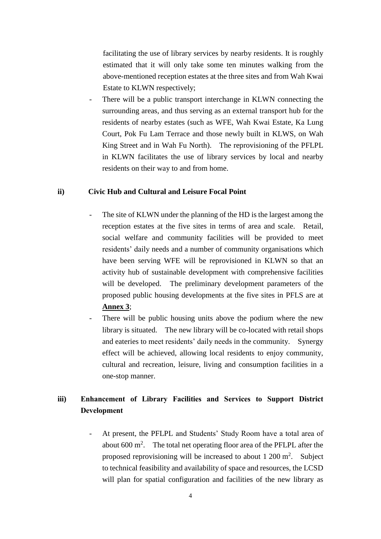facilitating the use of library services by nearby residents. It is roughly estimated that it will only take some ten minutes walking from the above-mentioned reception estates at the three sites and from Wah Kwai Estate to KLWN respectively;

There will be a public transport interchange in KLWN connecting the surrounding areas, and thus serving as an external transport hub for the residents of nearby estates (such as WFE, Wah Kwai Estate, Ka Lung Court, Pok Fu Lam Terrace and those newly built in KLWS, on Wah King Street and in Wah Fu North). The reprovisioning of the PFLPL in KLWN facilitates the use of library services by local and nearby residents on their way to and from home.

#### **ii) Civic Hub and Cultural and Leisure Focal Point**

- The site of KLWN under the planning of the HD is the largest among the reception estates at the five sites in terms of area and scale. Retail, social welfare and community facilities will be provided to meet residents' daily needs and a number of community organisations which have been serving WFE will be reprovisioned in KLWN so that an activity hub of sustainable development with comprehensive facilities will be developed. The preliminary development parameters of the proposed public housing developments at the five sites in PFLS are at **Annex 3**;
- There will be public housing units above the podium where the new library is situated. The new library will be co-located with retail shops and eateries to meet residents' daily needs in the community. Synergy effect will be achieved, allowing local residents to enjoy community, cultural and recreation, leisure, living and consumption facilities in a one-stop manner.

# **iii) Enhancement of Library Facilities and Services to Support District Development**

At present, the PFLPL and Students' Study Room have a total area of about  $600 \text{ m}^2$ . The total net operating floor area of the PFLPL after the proposed reprovisioning will be increased to about  $1200 \text{ m}^2$ . Subject to technical feasibility and availability of space and resources, the LCSD will plan for spatial configuration and facilities of the new library as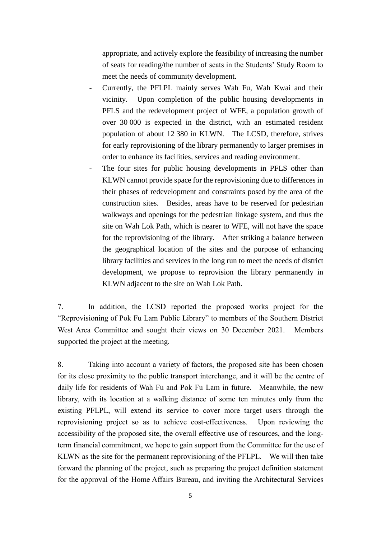appropriate, and actively explore the feasibility of increasing the number of seats for reading/the number of seats in the Students' Study Room to meet the needs of community development.

- Currently, the PFLPL mainly serves Wah Fu, Wah Kwai and their vicinity. Upon completion of the public housing developments in PFLS and the redevelopment project of WFE, a population growth of over 30 000 is expected in the district, with an estimated resident population of about 12 380 in KLWN. The LCSD, therefore, strives for early reprovisioning of the library permanently to larger premises in order to enhance its facilities, services and reading environment.
- The four sites for public housing developments in PFLS other than KLWN cannot provide space for the reprovisioning due to differences in their phases of redevelopment and constraints posed by the area of the construction sites. Besides, areas have to be reserved for pedestrian walkways and openings for the pedestrian linkage system, and thus the site on Wah Lok Path, which is nearer to WFE, will not have the space for the reprovisioning of the library. After striking a balance between the geographical location of the sites and the purpose of enhancing library facilities and services in the long run to meet the needs of district development, we propose to reprovision the library permanently in KLWN adjacent to the site on Wah Lok Path.

7. In addition, the LCSD reported the proposed works project for the "Reprovisioning of Pok Fu Lam Public Library" to members of the Southern District West Area Committee and sought their views on 30 December 2021. Members supported the project at the meeting.

8. Taking into account a variety of factors, the proposed site has been chosen for its close proximity to the public transport interchange, and it will be the centre of daily life for residents of Wah Fu and Pok Fu Lam in future. Meanwhile, the new library, with its location at a walking distance of some ten minutes only from the existing PFLPL, will extend its service to cover more target users through the reprovisioning project so as to achieve cost-effectiveness. Upon reviewing the accessibility of the proposed site, the overall effective use of resources, and the longterm financial commitment, we hope to gain support from the Committee for the use of KLWN as the site for the permanent reprovisioning of the PFLPL. We will then take forward the planning of the project, such as preparing the project definition statement for the approval of the Home Affairs Bureau, and inviting the Architectural Services